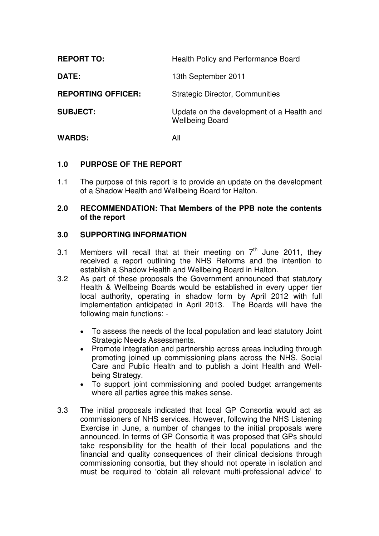| <b>REPORT TO:</b>         | Health Policy and Performance Board                                 |  |
|---------------------------|---------------------------------------------------------------------|--|
| DATE:                     | 13th September 2011                                                 |  |
| <b>REPORTING OFFICER:</b> | <b>Strategic Director, Communities</b>                              |  |
| <b>SUBJECT:</b>           | Update on the development of a Health and<br><b>Wellbeing Board</b> |  |
| <b>WARDS:</b>             | All                                                                 |  |

# **1.0 PURPOSE OF THE REPORT**

1.1 The purpose of this report is to provide an update on the development of a Shadow Health and Wellbeing Board for Halton.

#### **2.0 RECOMMENDATION: That Members of the PPB note the contents of the report**

# **3.0 SUPPORTING INFORMATION**

- 3.1 Members will recall that at their meeting on  $7<sup>th</sup>$  June 2011, they received a report outlining the NHS Reforms and the intention to establish a Shadow Health and Wellbeing Board in Halton.
- 3.2 As part of these proposals the Government announced that statutory Health & Wellbeing Boards would be established in every upper tier local authority, operating in shadow form by April 2012 with full implementation anticipated in April 2013. The Boards will have the following main functions: -
	- To assess the needs of the local population and lead statutory Joint Strategic Needs Assessments.
	- Promote integration and partnership across areas including through promoting joined up commissioning plans across the NHS, Social Care and Public Health and to publish a Joint Health and Wellbeing Strategy.
	- To support joint commissioning and pooled budget arrangements where all parties agree this makes sense.
- 3.3 The initial proposals indicated that local GP Consortia would act as commissioners of NHS services. However, following the NHS Listening Exercise in June, a number of changes to the initial proposals were announced. In terms of GP Consortia it was proposed that GPs should take responsibility for the health of their local populations and the financial and quality consequences of their clinical decisions through commissioning consortia, but they should not operate in isolation and must be required to 'obtain all relevant multi-professional advice' to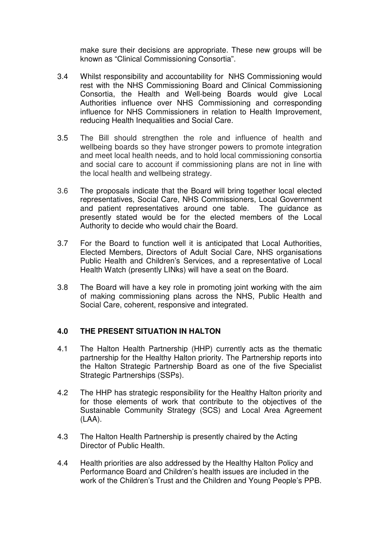make sure their decisions are appropriate. These new groups will be known as "Clinical Commissioning Consortia".

- 3.4 Whilst responsibility and accountability for NHS Commissioning would rest with the NHS Commissioning Board and Clinical Commissioning Consortia, the Health and Well-being Boards would give Local Authorities influence over NHS Commissioning and corresponding influence for NHS Commissioners in relation to Health Improvement, reducing Health Inequalities and Social Care.
- 3.5 The Bill should strengthen the role and influence of health and wellbeing boards so they have stronger powers to promote integration and meet local health needs, and to hold local commissioning consortia and social care to account if commissioning plans are not in line with the local health and wellbeing strategy.
- 3.6 The proposals indicate that the Board will bring together local elected representatives, Social Care, NHS Commissioners, Local Government and patient representatives around one table. The guidance as presently stated would be for the elected members of the Local Authority to decide who would chair the Board.
- 3.7 For the Board to function well it is anticipated that Local Authorities, Elected Members, Directors of Adult Social Care, NHS organisations Public Health and Children's Services, and a representative of Local Health Watch (presently LINks) will have a seat on the Board.
- 3.8 The Board will have a key role in promoting joint working with the aim of making commissioning plans across the NHS, Public Health and Social Care, coherent, responsive and integrated.

# **4.0 THE PRESENT SITUATION IN HALTON**

- 4.1 The Halton Health Partnership (HHP) currently acts as the thematic partnership for the Healthy Halton priority. The Partnership reports into the Halton Strategic Partnership Board as one of the five Specialist Strategic Partnerships (SSPs).
- 4.2 The HHP has strategic responsibility for the Healthy Halton priority and for those elements of work that contribute to the objectives of the Sustainable Community Strategy (SCS) and Local Area Agreement (LAA).
- 4.3 The Halton Health Partnership is presently chaired by the Acting Director of Public Health.
- 4.4 Health priorities are also addressed by the Healthy Halton Policy and Performance Board and Children's health issues are included in the work of the Children's Trust and the Children and Young People's PPB.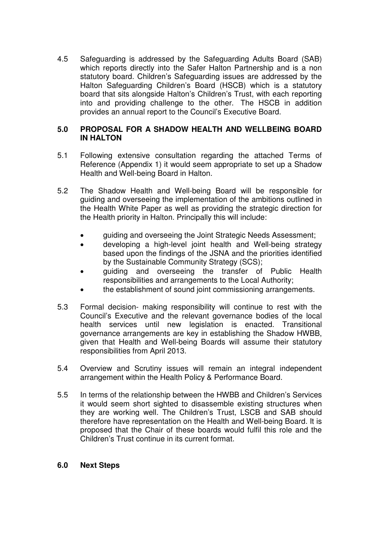4.5 Safeguarding is addressed by the Safeguarding Adults Board (SAB) which reports directly into the Safer Halton Partnership and is a non statutory board. Children's Safeguarding issues are addressed by the Halton Safeguarding Children's Board (HSCB) which is a statutory board that sits alongside Halton's Children's Trust, with each reporting into and providing challenge to the other. The HSCB in addition provides an annual report to the Council's Executive Board.

# **5.0 PROPOSAL FOR A SHADOW HEALTH AND WELLBEING BOARD IN HALTON**

- 5.1 Following extensive consultation regarding the attached Terms of Reference (Appendix 1) it would seem appropriate to set up a Shadow Health and Well-being Board in Halton.
- 5.2 The Shadow Health and Well-being Board will be responsible for guiding and overseeing the implementation of the ambitions outlined in the Health White Paper as well as providing the strategic direction for the Health priority in Halton. Principally this will include:
	- guiding and overseeing the Joint Strategic Needs Assessment:
	- developing a high-level joint health and Well-being strategy based upon the findings of the JSNA and the priorities identified by the Sustainable Community Strategy (SCS);
	- guiding and overseeing the transfer of Public Health responsibilities and arrangements to the Local Authority;
	- the establishment of sound joint commissioning arrangements.
- 5.3 Formal decision- making responsibility will continue to rest with the Council's Executive and the relevant governance bodies of the local health services until new legislation is enacted. Transitional governance arrangements are key in establishing the Shadow HWBB, given that Health and Well-being Boards will assume their statutory responsibilities from April 2013.
- 5.4 Overview and Scrutiny issues will remain an integral independent arrangement within the Health Policy & Performance Board.
- 5.5 In terms of the relationship between the HWBB and Children's Services it would seem short sighted to disassemble existing structures when they are working well. The Children's Trust, LSCB and SAB should therefore have representation on the Health and Well-being Board. It is proposed that the Chair of these boards would fulfil this role and the Children's Trust continue in its current format.

# **6.0 Next Steps**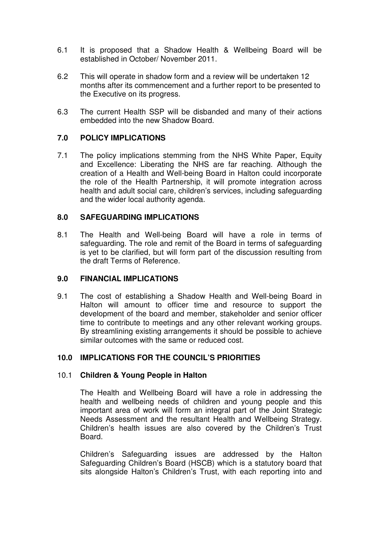- 6.1 It is proposed that a Shadow Health & Wellbeing Board will be established in October/ November 2011.
- 6.2 This will operate in shadow form and a review will be undertaken 12 months after its commencement and a further report to be presented to the Executive on its progress.
- 6.3 The current Health SSP will be disbanded and many of their actions embedded into the new Shadow Board.

# **7.0 POLICY IMPLICATIONS**

7.1 The policy implications stemming from the NHS White Paper, Equity and Excellence: Liberating the NHS are far reaching. Although the creation of a Health and Well-being Board in Halton could incorporate the role of the Health Partnership, it will promote integration across health and adult social care, children's services, including safeguarding and the wider local authority agenda.

# **8.0 SAFEGUARDING IMPLICATIONS**

8.1 The Health and Well-being Board will have a role in terms of safeguarding. The role and remit of the Board in terms of safeguarding is yet to be clarified, but will form part of the discussion resulting from the draft Terms of Reference.

# **9.0 FINANCIAL IMPLICATIONS**

9.1 The cost of establishing a Shadow Health and Well-being Board in Halton will amount to officer time and resource to support the development of the board and member, stakeholder and senior officer time to contribute to meetings and any other relevant working groups. By streamlining existing arrangements it should be possible to achieve similar outcomes with the same or reduced cost.

# **10.0 IMPLICATIONS FOR THE COUNCIL'S PRIORITIES**

# 10.1 **Children & Young People in Halton**

The Health and Wellbeing Board will have a role in addressing the health and wellbeing needs of children and young people and this important area of work will form an integral part of the Joint Strategic Needs Assessment and the resultant Health and Wellbeing Strategy. Children's health issues are also covered by the Children's Trust Board.

Children's Safeguarding issues are addressed by the Halton Safeguarding Children's Board (HSCB) which is a statutory board that sits alongside Halton's Children's Trust, with each reporting into and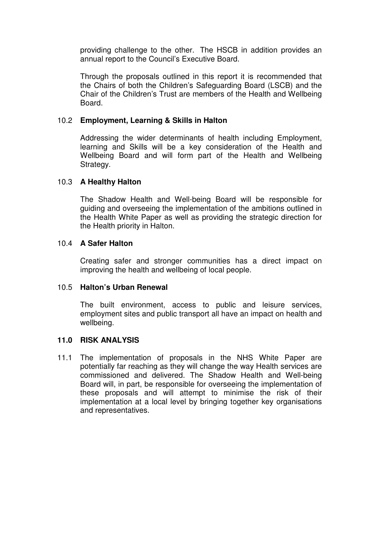providing challenge to the other. The HSCB in addition provides an annual report to the Council's Executive Board.

Through the proposals outlined in this report it is recommended that the Chairs of both the Children's Safeguarding Board (LSCB) and the Chair of the Children's Trust are members of the Health and Wellbeing Board.

# 10.2 **Employment, Learning & Skills in Halton**

Addressing the wider determinants of health including Employment, learning and Skills will be a key consideration of the Health and Wellbeing Board and will form part of the Health and Wellbeing Strategy.

# 10.3 **A Healthy Halton**

The Shadow Health and Well-being Board will be responsible for guiding and overseeing the implementation of the ambitions outlined in the Health White Paper as well as providing the strategic direction for the Health priority in Halton.

# 10.4 **A Safer Halton**

Creating safer and stronger communities has a direct impact on improving the health and wellbeing of local people.

# 10.5 **Halton's Urban Renewal**

The built environment, access to public and leisure services, employment sites and public transport all have an impact on health and wellbeing.

# **11.0 RISK ANALYSIS**

11.1 The implementation of proposals in the NHS White Paper are potentially far reaching as they will change the way Health services are commissioned and delivered. The Shadow Health and Well-being Board will, in part, be responsible for overseeing the implementation of these proposals and will attempt to minimise the risk of their implementation at a local level by bringing together key organisations and representatives.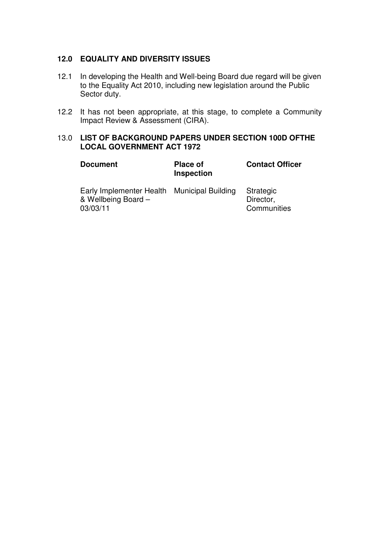# **12.0 EQUALITY AND DIVERSITY ISSUES**

- 12.1 In developing the Health and Well-being Board due regard will be given to the Equality Act 2010, including new legislation around the Public Sector duty.
- 12.2 It has not been appropriate, at this stage, to complete a Community Impact Review & Assessment (CIRA).

# 13.0 **LIST OF BACKGROUND PAPERS UNDER SECTION 100D OFTHE LOCAL GOVERNMENT ACT 1972**

| <b>Document</b>                                                                | <b>Place of</b><br><b>Inspection</b> | <b>Contact Officer</b>                |
|--------------------------------------------------------------------------------|--------------------------------------|---------------------------------------|
| Early Implementer Health Municipal Building<br>& Wellbeing Board -<br>03/03/11 |                                      | Strategic<br>Director,<br>Communities |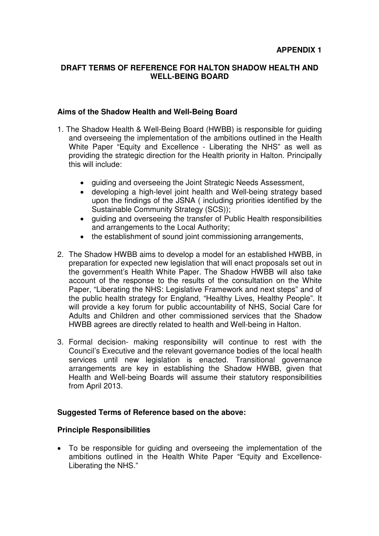# **DRAFT TERMS OF REFERENCE FOR HALTON SHADOW HEALTH AND WELL-BEING BOARD**

# **Aims of the Shadow Health and Well-Being Board**

- 1. The Shadow Health & Well-Being Board (HWBB) is responsible for guiding and overseeing the implementation of the ambitions outlined in the Health White Paper "Equity and Excellence - Liberating the NHS" as well as providing the strategic direction for the Health priority in Halton. Principally this will include:
	- guiding and overseeing the Joint Strategic Needs Assessment,
	- developing a high-level joint health and Well-being strategy based upon the findings of the JSNA ( including priorities identified by the Sustainable Community Strategy (SCS));
	- guiding and overseeing the transfer of Public Health responsibilities and arrangements to the Local Authority;
	- the establishment of sound joint commissioning arrangements,
- 2. The Shadow HWBB aims to develop a model for an established HWBB, in preparation for expected new legislation that will enact proposals set out in the government's Health White Paper. The Shadow HWBB will also take account of the response to the results of the consultation on the White Paper, "Liberating the NHS: Legislative Framework and next steps" and of the public health strategy for England, "Healthy Lives, Healthy People". It will provide a key forum for public accountability of NHS, Social Care for Adults and Children and other commissioned services that the Shadow HWBB agrees are directly related to health and Well-being in Halton.
- 3. Formal decision- making responsibility will continue to rest with the Council's Executive and the relevant governance bodies of the local health services until new legislation is enacted. Transitional governance arrangements are key in establishing the Shadow HWBB, given that Health and Well-being Boards will assume their statutory responsibilities from April 2013.

# **Suggested Terms of Reference based on the above:**

# **Principle Responsibilities**

• To be responsible for guiding and overseeing the implementation of the ambitions outlined in the Health White Paper "Equity and Excellence-Liberating the NHS."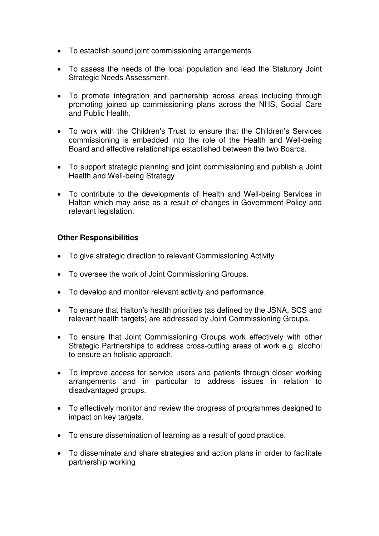- To establish sound joint commissioning arrangements
- To assess the needs of the local population and lead the Statutory Joint Strategic Needs Assessment.
- To promote integration and partnership across areas including through promoting joined up commissioning plans across the NHS, Social Care and Public Health.
- To work with the Children's Trust to ensure that the Children's Services commissioning is embedded into the role of the Health and Well-being Board and effective relationships established between the two Boards.
- To support strategic planning and joint commissioning and publish a Joint Health and Well-being Strategy
- To contribute to the developments of Health and Well-being Services in Halton which may arise as a result of changes in Government Policy and relevant legislation.

# **Other Responsibilities**

- To give strategic direction to relevant Commissioning Activity
- To oversee the work of Joint Commissioning Groups.
- To develop and monitor relevant activity and performance.
- To ensure that Halton's health priorities (as defined by the JSNA, SCS and relevant health targets) are addressed by Joint Commissioning Groups.
- To ensure that Joint Commissioning Groups work effectively with other Strategic Partnerships to address cross-cutting areas of work e.g. alcohol to ensure an holistic approach.
- To improve access for service users and patients through closer working arrangements and in particular to address issues in relation to disadvantaged groups.
- To effectively monitor and review the progress of programmes designed to impact on key targets.
- To ensure dissemination of learning as a result of good practice.
- To disseminate and share strategies and action plans in order to facilitate partnership working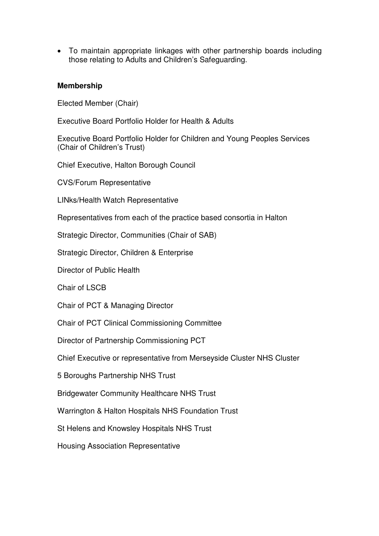• To maintain appropriate linkages with other partnership boards including those relating to Adults and Children's Safeguarding.

# **Membership**

Elected Member (Chair)

Executive Board Portfolio Holder for Health & Adults

Executive Board Portfolio Holder for Children and Young Peoples Services (Chair of Children's Trust)

Chief Executive, Halton Borough Council

CVS/Forum Representative

LINks/Health Watch Representative

Representatives from each of the practice based consortia in Halton

Strategic Director, Communities (Chair of SAB)

Strategic Director, Children & Enterprise

Director of Public Health

Chair of LSCB

Chair of PCT & Managing Director

Chair of PCT Clinical Commissioning Committee

Director of Partnership Commissioning PCT

Chief Executive or representative from Merseyside Cluster NHS Cluster

5 Boroughs Partnership NHS Trust

Bridgewater Community Healthcare NHS Trust

Warrington & Halton Hospitals NHS Foundation Trust

St Helens and Knowsley Hospitals NHS Trust

Housing Association Representative